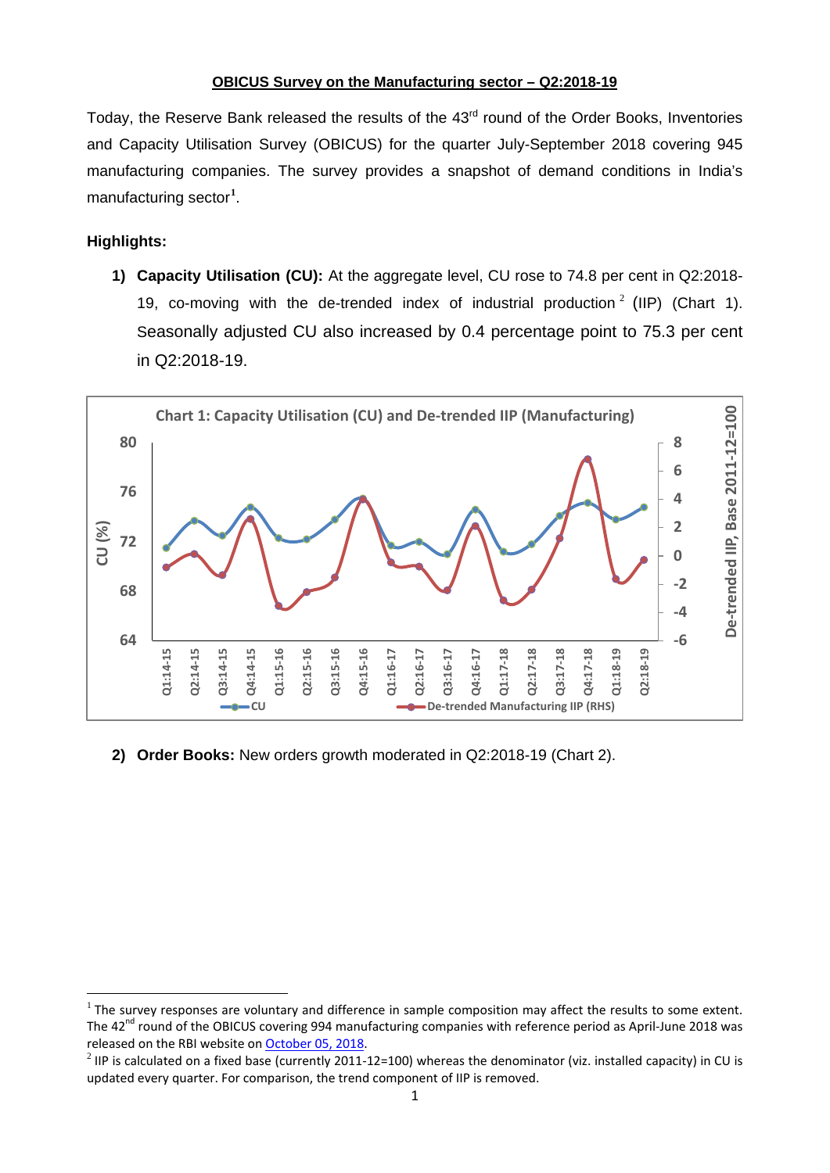## **OBICUS Survey on the Manufacturing sector – Q2:2018-19**

Today, the Reserve Bank released the results of the 43<sup>rd</sup> round of the Order Books, Inventories and Capacity Utilisation Survey (OBICUS) for the quarter July-September 2018 covering 945 manufacturing companies. The survey provides a snapshot of demand conditions in India's manufacturing sector**[1](#page-0-0)** .

## **Highlights:**

l

**1) Capacity Utilisation (CU):** At the aggregate level, CU rose to 74.8 per cent in Q2:2018- 19, co-moving with the de-trended index of industrial production  $2$  (IIP) (Chart 1). Seasonally adjusted CU also increased by 0.4 percentage point to 75.3 per cent in Q2:2018-19.



**2) Order Books:** New orders growth moderated in Q2:2018-19 (Chart 2).

<span id="page-0-0"></span> $<sup>1</sup>$  The survey responses are voluntary and difference in sample composition may affect the results to some extent.</sup> The  $42<sup>nd</sup>$  round of the OBICUS covering 994 manufacturing companies with reference period as April-June 2018 was released on the RBI website on October [05, 2018.](https://www.rbi.org.in/Scripts/PublicationsView.aspx?id=18714)

<span id="page-0-1"></span><sup>&</sup>lt;sup>2</sup> IIP is calculated on a fixed base (currently 2011-12=100) whereas the denominator (viz. installed capacity) in CU is updated every quarter. For comparison, the trend component of IIP is removed.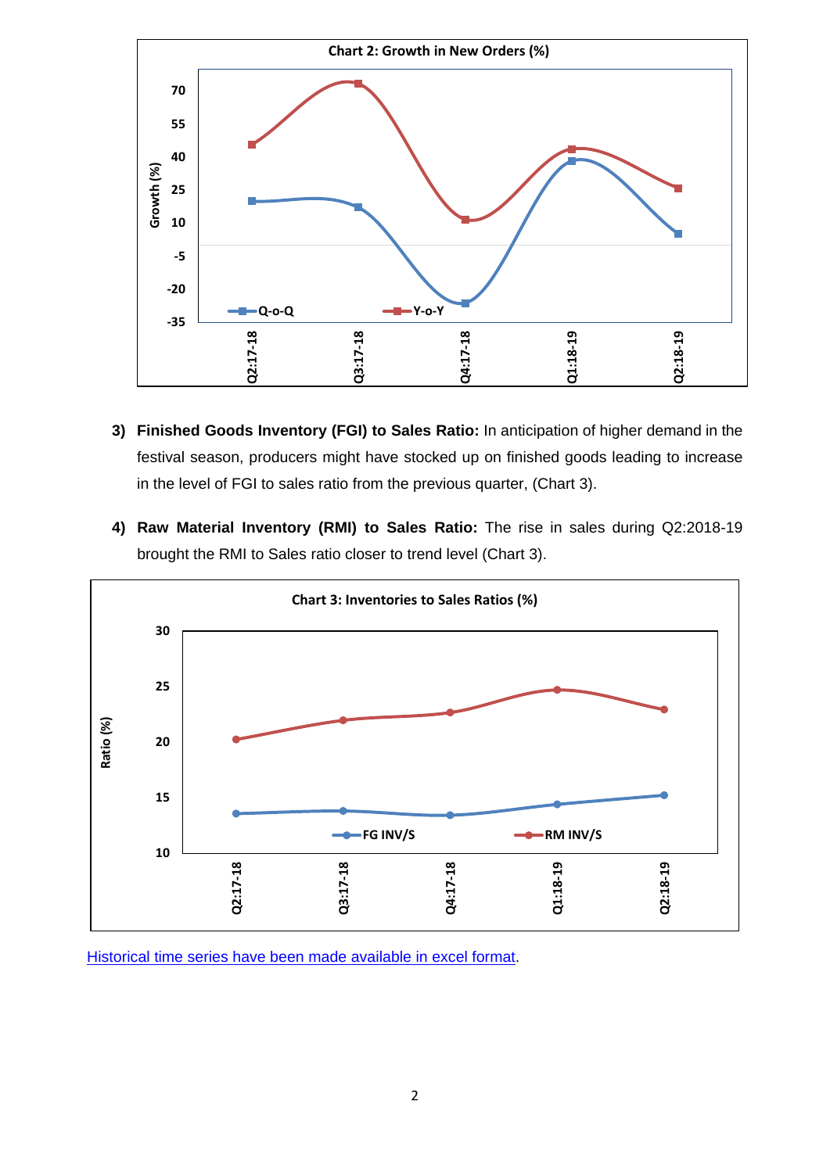

- **3) Finished Goods Inventory (FGI) to Sales Ratio:** In anticipation of higher demand in the festival season, producers might have stocked up on finished goods leading to increase in the level of FGI to sales ratio from the previous quarter, (Chart 3).
- **4) Raw Material Inventory (RMI) to Sales Ratio:** The rise in sales during Q2:2018-19 brought the RMI to Sales ratio closer to trend level (Chart 3).



[Historical time series have been made](http://rbidocs.rbi.org.in/rdocs/content/docs/OBICUSF07022019_43.xlsx) available in excel format.